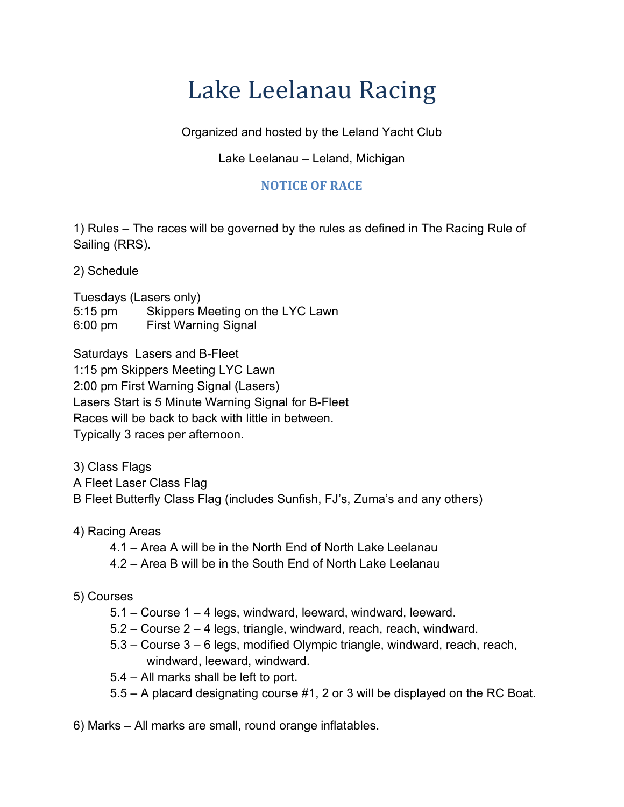## Lake Leelanau Racing

Organized and hosted by the Leland Yacht Club

## Lake Leelanau – Leland, Michigan

## **NOTICE OF RACE**

1) Rules – The races will be governed by the rules as defined in The Racing Rule of Sailing (RRS).

2) Schedule

Tuesdays (Lasers only) 5:15 pm Skippers Meeting on the LYC Lawn 6:00 pm First Warning Signal

Saturdays Lasers and B-Fleet

1:15 pm Skippers Meeting LYC Lawn 2:00 pm First Warning Signal (Lasers) Lasers Start is 5 Minute Warning Signal for B-Fleet Races will be back to back with little in between. Typically 3 races per afternoon.

3) Class Flags

A Fleet Laser Class Flag

B Fleet Butterfly Class Flag (includes Sunfish, FJ's, Zuma's and any others)

4) Racing Areas

- 4.1 Area A will be in the North End of North Lake Leelanau
- 4.2 Area B will be in the South End of North Lake Leelanau

## 5) Courses

- 5.1 Course 1 4 legs, windward, leeward, windward, leeward.
- 5.2 Course 2 4 legs, triangle, windward, reach, reach, windward.
- 5.3 Course 3 6 legs, modified Olympic triangle, windward, reach, reach, windward, leeward, windward.
- 5.4 All marks shall be left to port.
- 5.5 A placard designating course #1, 2 or 3 will be displayed on the RC Boat.

6) Marks – All marks are small, round orange inflatables.